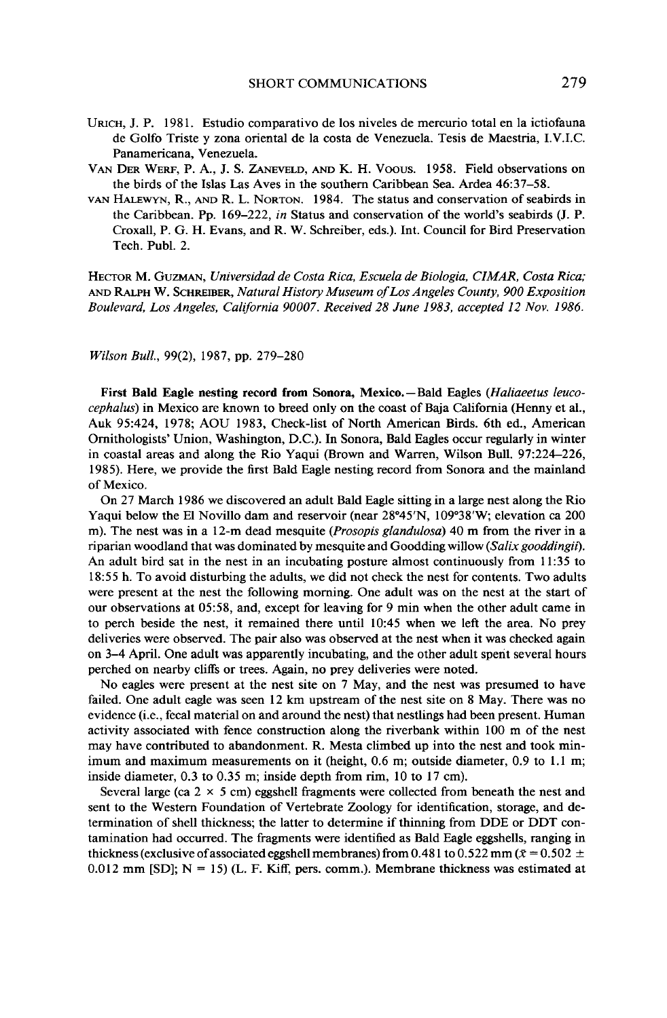- URICH, J. P. 1981. Estudio comparativo de los niveles de mercurio total en la ictiofauna **de Golfo Triste y zona oriental de la costa de Venezuela. Tesis de Maestria, I.V.I.C. Panamericana, Venezuela.**
- **VAN DER WERF, P. A., J. S. ZANEVELD, AND K. H. Voous. 1958. Field observations on the birds of the Islas Las Aves in the southern Caribbean Sea. Ardea 46:37-58.**
- **VAN HALEWYN, R., AND R. L. NORTON. 1984. The status and conservation of seabirds in**  the Caribbean. Pp. 169-222, *in* Status and conservation of the world's seabirds (J. P. **Croxall, P. G. H. Evans, and R. W. Schreiber, eds.). Int. Council for Bird Preservation Tech. Publ. 2.**

**HECTOR M. GUZMAN, Universidad de Costa Rica, Escuela de Biologia, CIMAR, Costa Rica; AND RALPH W. SCHREIBER, Natural History Museum ofLos Angeles County, 900 Exposition Boulevard, Los Angeles, California 90007. Received 28 June 1983, accepted 12 Nov. 1986.** 

**Wilson Bull., 99(2), 1987, pp. 279-280** 

First Bald Eagle nesting record from Sonora, Mexico. - Bald Eagles *(Haliaeetus leuco***cephalus) in Mexico are known to breed only on the coast of Baja California (Henny et al., Auk 95:424, 1978; AOU 1983, Check-list of North American Birds. 6th ed., American Ornithologists' Union, Washington, D.C.). In Sonora, Bald Eagles occur regularly in winter in coastal areas and along the Rio Yaqui (Brown and Warren, Wilson Bull. 97:224-226, 1985). Here, we provide the first Bald Eagle nesting record from Sonora and the mainland of Mexico.** 

**On 27 March 1986 we discovered an adult Bald Eagle sitting in a large nest along the Rio Yaqui below the El Novillo dam and reservoir (near 28"45N, ' 109"38W, ' elevation ca 200 m). The nest was in a 12-m dead mesquite (Prosopis glandulosa) 40 m from the river in a riparian woodland that was dominated by mesquite and Goodding willow (Salixgooddingii). An adult bird sat in the nest in an incubating posture almost continuously from 11:35 to 18:55 h. To avoid disturbing the adults, we did not check the nest for contents. Two adults were present at the nest the following morning. One adult was on the nest at the start of our observations at 05:58, and, except for leaving for 9 min when the other adult came in to perch beside the nest, it remained there until lo:45 when we left the area. No prey deliveries were observed. The pair also was observed at the nest when it was checked again on 3-4 April. One adult was apparently incubating, and the other adult spent several hours perched on nearby cliffs or trees. Again, no prey deliveries were noted.** 

**No eagles were present at the nest site on 7 May, and the nest was presumed to have failed. One adult eagle was seen 12 km upstream of the nest site on 8 May. There was no evidence (i.e., fecal material on and around the nest) that nestlings had been present. Human activity associated with fence construction along the riverbank within 100 m of the nest may have contributed to abandonment. R. Mesta climbed up into the nest and took minimum and maximum measurements on it (height, 0.6 m; outside diameter, 0.9 to 1.1 m; inside diameter, 0.3 to 0.35 m; inside depth from rim, 10 to 17 cm).** 

Several large (ca  $2 \times 5$  cm) eggshell fragments were collected from beneath the nest and **sent to the Western Foundation of Vertebrate Zoology for identification, storage, and determination of shell thickness; the latter to determine if thinning from DDE or DDT contamination had occurred. The fragments were identified as Bald Eagle eggshells, ranging in**  thickness (exclusive of associated eggshell membranes) from 0.481 to 0.522 mm ( $\bar{x}$  = 0.502  $\pm$ **0.012 mm [SD]; N = 15) (L. F. Kiff, pers. comm.). Membrane thickness was estimated at**